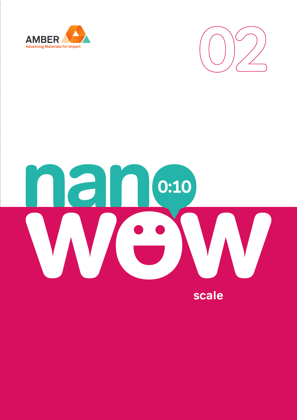



# Ian  $\boxed{0:10}$  $\vert \hspace{0.5cm} \vert$  $\bullet$

scale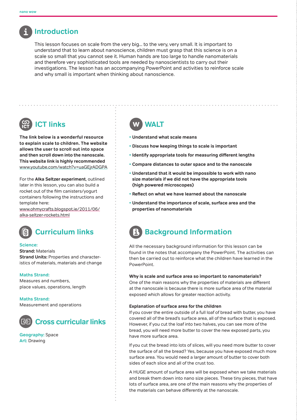

## **Introduction**

This lesson focuses on scale from the very big... to the very, very small. It is important to understand that to learn about nanoscience, children must grasp that this science is on a scale so small that you cannot see it. Human hands are too large to handle nanomaterials and therefore very sophisticated tools are needed by nanoscientists to carry out their investigations. The lesson has an accompanying PowerPoint and activities to reinforce scale and why small is important when thinking about nanoscience.

# **ICT links**

**The link below is a wonderful resource to explain scale to children. The website allows the user to scroll out into space and then scroll down into the nanoscale. This website link is highly recommended**  www.youtube.com/watch?v=uaGEjrADGPA

For the **Alka Seltzer experiment**, outlined later in this lesson, you can also build a rocket out of the film canisters/yogurt containers following the instructions and template here:

www.ohmycrafts.blogspot.ie/2011/06/ alka-seltzer-rockets.html



#### **Science:**

**Strand:** Materials **Strand Units:** Properties and characteristics of materials, materials and change

#### **Maths Strand:**

Measures and numbers, place values, operations, length

**Maths Strand:**  Measurement and operations



**Geography:** Space **Art:** Drawing

# **WALT**

- **Understand what scale means**
- **Discuss how keeping things to scale is important**
- **Identify appropriate tools for measuring different lengths**
- **Compare distances to outer space and to the nanoscale**
- **Understand that it would be impossible to work with nano size materials if we did not have the appropriate tools (high powered microscopes)**
- **Reflect on what we have learned about the nanoscale**
- **Understand the importance of scale, surface area and the properties of nanomaterials**

# **Background Information**

All the necessary background information for this lesson can be found in the notes that accompany the PowerPoint. The activities can then be carried out to reinforce what the children have learned in the PowerPoint.

#### **Why is scale and surface area so important to nanomaterials?**

One of the main reasons why the properties of materials are different at the nanoscale is because there is more surface area of the material exposed which allows for greater reaction activity.

#### **Explanation of surface area for the children**

If you cover the entire outside of a full loaf of bread with butter, you have covered all of the bread's surface area, all of the surface that is exposed. However, if you cut the loaf into two halves, you can see more of the bread, you will need more butter to cover the new exposed parts, you have more surface area.

If you cut the bread into lots of slices, will you need more butter to cover the surface of all the bread? Yes, because you have exposed much more surface area. You would need a larger amount of butter to cover both sides of each slice and all of the crust too.

A HUGE amount of surface area will be exposed when we take materials and break them down into nano size pieces. These tiny pieces, that have lots of surface area, are one of the main reasons why the properties of the materials can behave differently at the nanoscale.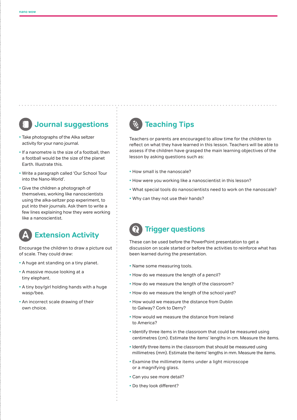# **Journal suggestions**

- Take photographs of the Alka seltzer activity for your nano journal.
- If a nanometre is the size of a football, then a football would be the size of the planet Earth. Illustrate this.
- Write a paragraph called 'Our School Tour into the Nano-World'.
- Give the children a photograph of themselves, working like nanoscientists using the alka-seltzer pop experiment, to put into their journals. Ask them to write a few lines explaining how they were working like a nanoscientist.



Encourage the children to draw a picture out of scale. They could draw:

- A huge ant standing on a tiny planet.
- A massive mouse looking at a tiny elephant.
- A tiny boy/girl holding hands with a huge wasp/bee.
- An incorrect scale drawing of their own choice.

## **Teaching Tips**

Teachers or parents are encouraged to allow time for the children to reflect on what they have learned in this lesson. Teachers will be able to assess if the children have grasped the main learning objectives of the lesson by asking questions such as:

- How small is the nanoscale?
- How were you working like a nanoscientist in this lesson?
- What special tools do nanoscientists need to work on the nanoscale?
- Why can they not use their hands?

## **Trigger questions**

These can be used before the PowerPoint presentation to get a discussion on scale started or before the activities to reinforce what has been learned during the presentation.

- Name some measuring tools.
- How do we measure the length of a pencil?
- How do we measure the length of the classroom?
- How do we measure the length of the school yard?
- How would we measure the distance from Dublin to Galway? Cork to Derry?
- How would we measure the distance from Ireland to America?
- **•** Identify three items in the classroom that could be measured using centimetres (cm). Estimate the items' lengths in cm. Measure the items.
- Identify three items in the classroom that should be measured using millimetres (mm). Estimate the items' lengths in mm. Measure the items.
- Examine the millimetre items under a light microscope or a magnifying glass.
- Can you see more detail?
- Do they look different?